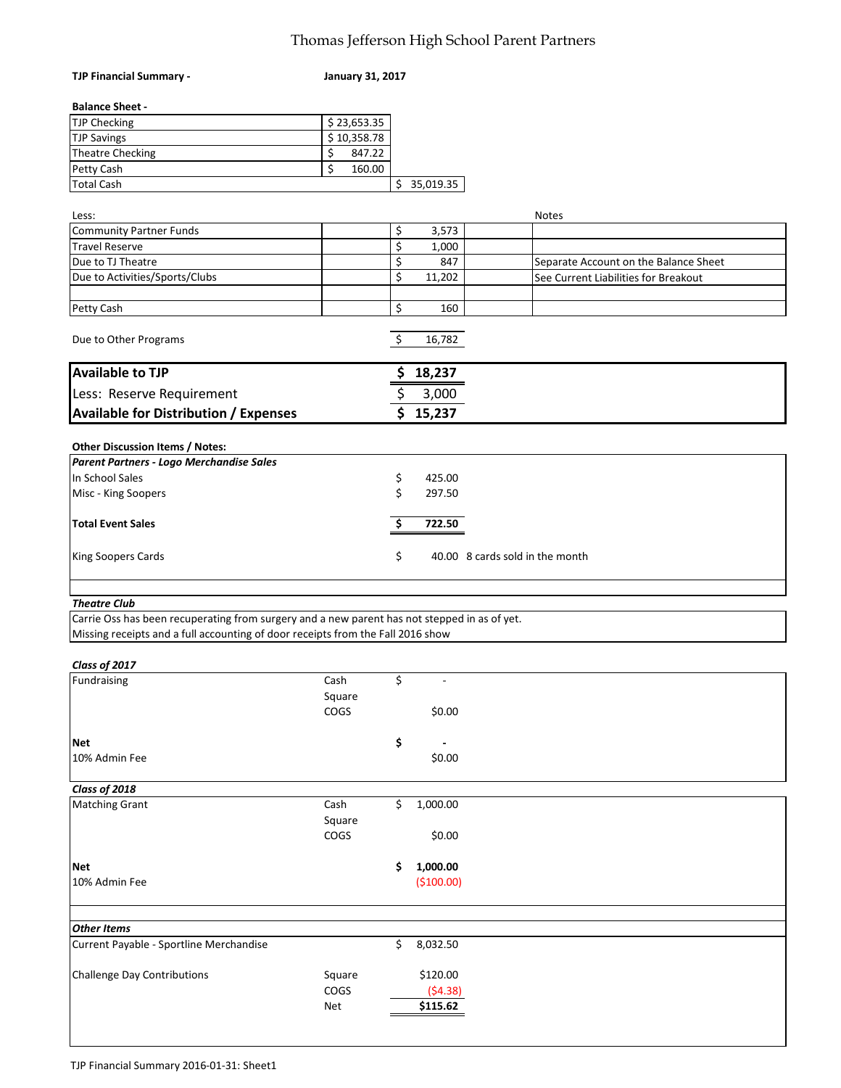## Thomas Jefferson High School Parent Partners

| TJP Financial Summary -                                                                                                                                                         | <b>January 31, 2017</b> |                |                                       |
|---------------------------------------------------------------------------------------------------------------------------------------------------------------------------------|-------------------------|----------------|---------------------------------------|
| <b>Balance Sheet -</b>                                                                                                                                                          |                         |                |                                       |
| <b>TJP Checking</b>                                                                                                                                                             | \$23,653.35             |                |                                       |
| <b>TJP Savings</b>                                                                                                                                                              | \$10,358.78             |                |                                       |
| <b>Theatre Checking</b>                                                                                                                                                         | \$<br>847.22            |                |                                       |
| Petty Cash                                                                                                                                                                      | \$<br>160.00            |                |                                       |
| <b>Total Cash</b>                                                                                                                                                               |                         | \$35,019.35    |                                       |
|                                                                                                                                                                                 |                         |                | <b>Notes</b>                          |
| Less:<br><b>Community Partner Funds</b>                                                                                                                                         |                         | \$<br>3,573    |                                       |
| <b>Travel Reserve</b>                                                                                                                                                           |                         | \$<br>1,000    |                                       |
| Due to TJ Theatre                                                                                                                                                               |                         | \$<br>847      | Separate Account on the Balance Sheet |
| Due to Activities/Sports/Clubs                                                                                                                                                  |                         | \$<br>11,202   | See Current Liabilities for Breakout  |
|                                                                                                                                                                                 |                         |                |                                       |
| Petty Cash                                                                                                                                                                      |                         | \$<br>160      |                                       |
| Due to Other Programs                                                                                                                                                           |                         | \$<br>16,782   |                                       |
| <b>Available to TJP</b>                                                                                                                                                         |                         | \$<br>18,237   |                                       |
| Less: Reserve Requirement                                                                                                                                                       |                         | \$<br>3,000    |                                       |
| <b>Available for Distribution / Expenses</b>                                                                                                                                    |                         | \$<br>15,237   |                                       |
|                                                                                                                                                                                 |                         |                |                                       |
| Other Discussion Items / Notes:                                                                                                                                                 |                         |                |                                       |
| Parent Partners - Logo Merchandise Sales                                                                                                                                        |                         |                |                                       |
| In School Sales                                                                                                                                                                 |                         | \$<br>425.00   |                                       |
| Misc - King Soopers                                                                                                                                                             |                         | \$<br>297.50   |                                       |
|                                                                                                                                                                                 |                         |                |                                       |
| <b>Total Event Sales</b>                                                                                                                                                        |                         | \$<br>722.50   |                                       |
| King Soopers Cards                                                                                                                                                              |                         | \$             | 40.00 8 cards sold in the month       |
|                                                                                                                                                                                 |                         |                |                                       |
| <b>Theatre Club</b>                                                                                                                                                             |                         |                |                                       |
| Carrie Oss has been recuperating from surgery and a new parent has not stepped in as of yet.<br>Missing receipts and a full accounting of door receipts from the Fall 2016 show |                         |                |                                       |
|                                                                                                                                                                                 |                         |                |                                       |
| Class of 2017                                                                                                                                                                   |                         |                |                                       |
| Fundraising                                                                                                                                                                     | Cash                    | \$             |                                       |
|                                                                                                                                                                                 | Square                  |                |                                       |
|                                                                                                                                                                                 | COGS                    | \$0.00         |                                       |
|                                                                                                                                                                                 |                         |                |                                       |
| <b>Net</b>                                                                                                                                                                      |                         | \$<br>٠        |                                       |
| 10% Admin Fee                                                                                                                                                                   |                         | \$0.00         |                                       |
| Class of 2018                                                                                                                                                                   |                         |                |                                       |
| <b>Matching Grant</b>                                                                                                                                                           | Cash                    | \$<br>1,000.00 |                                       |
|                                                                                                                                                                                 | Square                  |                |                                       |
|                                                                                                                                                                                 | COGS                    | \$0.00         |                                       |
|                                                                                                                                                                                 |                         |                |                                       |
| Net                                                                                                                                                                             |                         | \$<br>1,000.00 |                                       |
| 10% Admin Fee                                                                                                                                                                   |                         | (\$100.00)     |                                       |
|                                                                                                                                                                                 |                         |                |                                       |
|                                                                                                                                                                                 |                         |                |                                       |
| <b>Other Items</b>                                                                                                                                                              |                         |                |                                       |
| Current Payable - Sportline Merchandise                                                                                                                                         |                         | \$<br>8,032.50 |                                       |
| <b>Challenge Day Contributions</b>                                                                                                                                              | Square                  | \$120.00       |                                       |
|                                                                                                                                                                                 | COGS                    | (54.38)        |                                       |
|                                                                                                                                                                                 | Net                     | \$115.62       |                                       |
|                                                                                                                                                                                 |                         |                |                                       |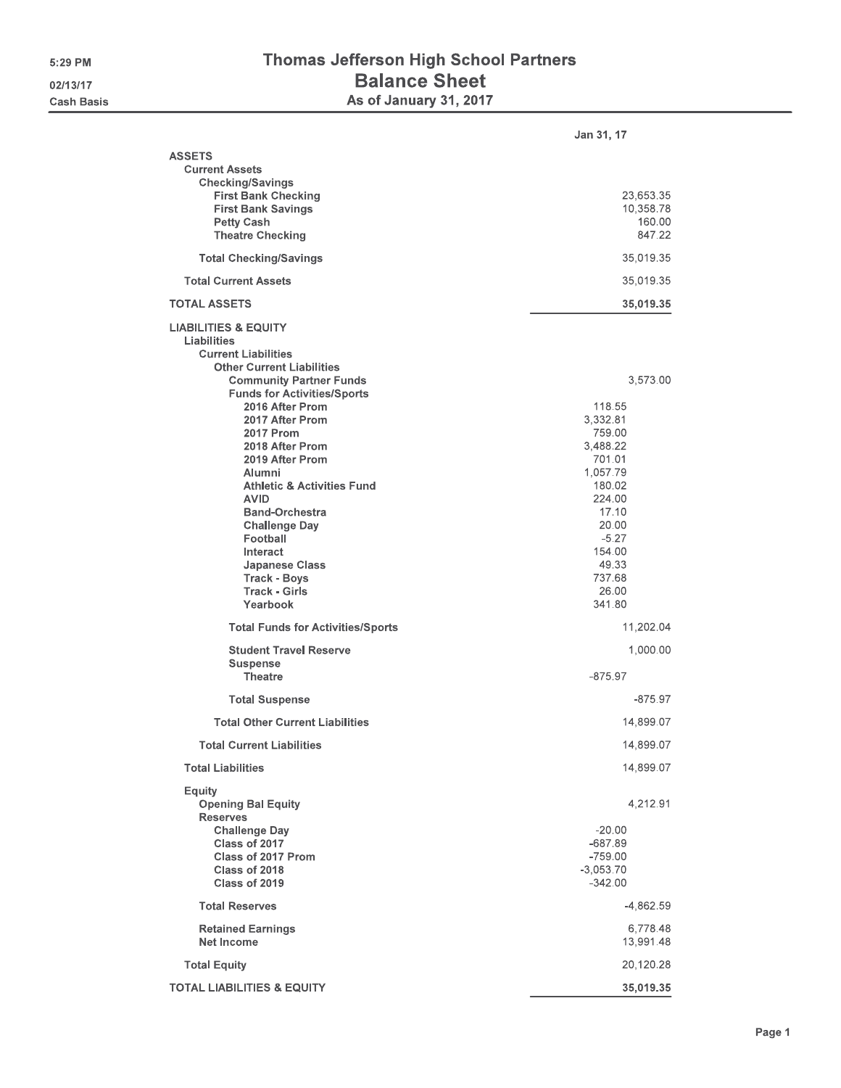## Thomas Jefferson High School Partners Balance Sheet<br>As of January 31, 2017

|                                                                                                                                                                                                                                                                                                                 | Jan 31, 17                                                                                                                                            |
|-----------------------------------------------------------------------------------------------------------------------------------------------------------------------------------------------------------------------------------------------------------------------------------------------------------------|-------------------------------------------------------------------------------------------------------------------------------------------------------|
| <b>ASSETS</b><br><b>Current Assets</b><br><b>Checking/Savings</b><br><b>First Bank Checking</b><br><b>First Bank Savings</b><br><b>Petty Cash</b><br><b>Theatre Checking</b>                                                                                                                                    | 23,653.35<br>10,358,78<br>160,00<br>847.22                                                                                                            |
| <b>Total Checking/Savings</b>                                                                                                                                                                                                                                                                                   | 35,019.35                                                                                                                                             |
| <b>Total Current Assets</b>                                                                                                                                                                                                                                                                                     | 35,019.35                                                                                                                                             |
| <b>TOTAL ASSETS</b>                                                                                                                                                                                                                                                                                             | 35,019.35                                                                                                                                             |
| <b>LIABILITIES &amp; EQUITY</b><br>Liabilities<br><b>Current Liabilities</b><br><b>Other Current Liabilities</b><br><b>Community Partner Funds</b><br><b>Funds for Activities/Sports</b><br>2016 After Prom                                                                                                     | 3,573.00<br>118,55                                                                                                                                    |
| 2017 After Prom<br><b>2017 Prom</b><br>2018 After Prom<br>2019 After Prom<br>Alumni<br><b>Athletic &amp; Activities Fund</b><br><b>AVID</b><br><b>Band-Orchestra</b><br><b>Challenge Day</b><br>Football<br><b>Interact</b><br><b>Japanese Class</b><br><b>Track - Boys</b><br><b>Track - Girls</b><br>Yearbook | 3,332.81<br>759.00<br>3,488.22<br>701.01<br>1,057.79<br>180.02<br>224.00<br>17.10<br>20,00<br>$-5.27$<br>154.00<br>49.33<br>737.68<br>26,00<br>341,80 |
| <b>Total Funds for Activities/Sports</b>                                                                                                                                                                                                                                                                        | 11,202.04                                                                                                                                             |
| <b>Student Travel Reserve</b><br><b>Suspense</b><br><b>Theatre</b>                                                                                                                                                                                                                                              | 1,000.00<br>$-875.97$                                                                                                                                 |
| <b>Total Suspense</b>                                                                                                                                                                                                                                                                                           | -875.97                                                                                                                                               |
| <b>Total Other Current Liabilities</b>                                                                                                                                                                                                                                                                          | 14,899.07                                                                                                                                             |
| <b>Total Current Liabilities</b>                                                                                                                                                                                                                                                                                | 14,899.07                                                                                                                                             |
| <b>Total Liabilities</b>                                                                                                                                                                                                                                                                                        | 14,899.07                                                                                                                                             |
| Equity<br><b>Opening Bal Equity</b><br><b>Reserves</b><br><b>Challenge Day</b><br>Class of 2017<br>Class of 2017 Prom<br>Class of 2018<br>Class of 2019                                                                                                                                                         | 4,212.91<br>$-20.00$<br>$-687.89$<br>$-759.00$<br>$-3,053.70$<br>$-342.00$                                                                            |
| <b>Total Reserves</b>                                                                                                                                                                                                                                                                                           | $-4,862.59$                                                                                                                                           |
| <b>Retained Earnings</b><br><b>Net Income</b>                                                                                                                                                                                                                                                                   | 6,778.48<br>13,991.48                                                                                                                                 |
| <b>Total Equity</b>                                                                                                                                                                                                                                                                                             | 20,120.28                                                                                                                                             |
| <b>TOTAL LIABILITIES &amp; EQUITY</b>                                                                                                                                                                                                                                                                           | 35,019.35                                                                                                                                             |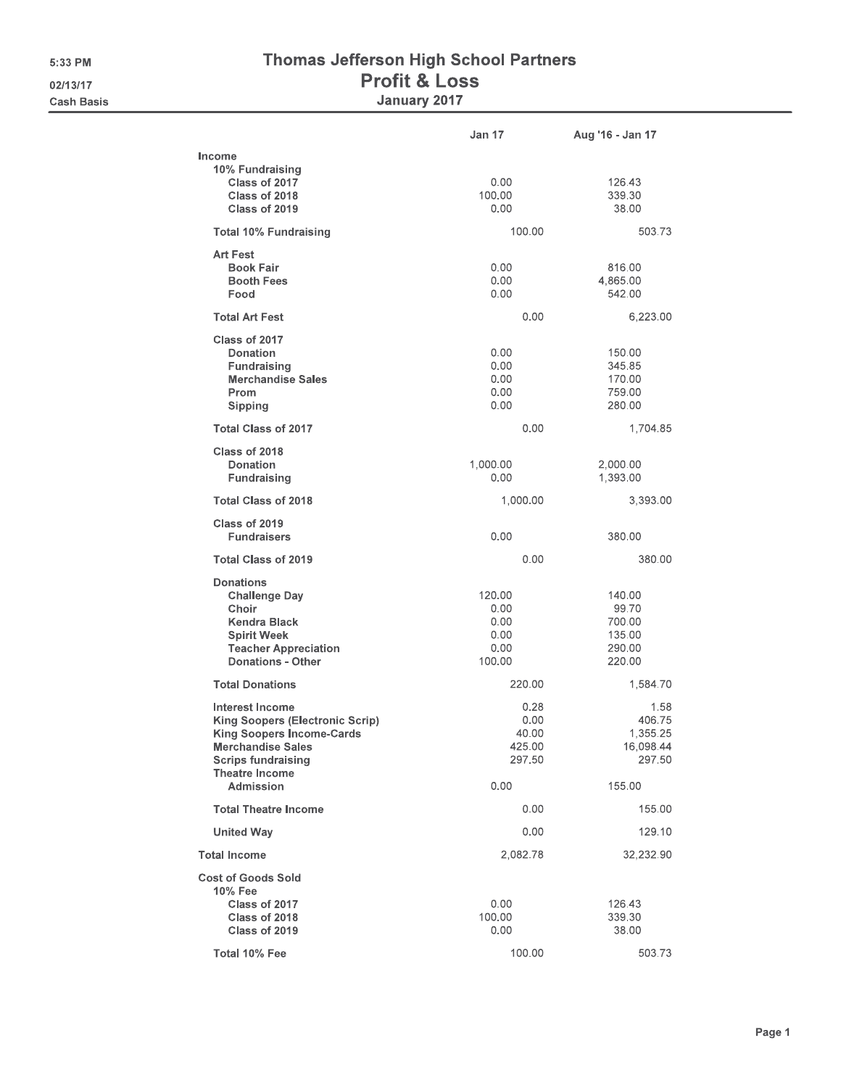## Thomas Jefferson High School Partners **Profit & Loss** January 2017

|                                                                                                                                                                                        | <b>Jan 17</b>                                    | Aug '16 - Jan 17                                        |
|----------------------------------------------------------------------------------------------------------------------------------------------------------------------------------------|--------------------------------------------------|---------------------------------------------------------|
| Income<br>10% Fundraising<br>Class of 2017<br>Class of 2018<br>Class of 2019                                                                                                           | 0.00<br>100.00<br>0.00                           | 126.43<br>339.30<br>38,00                               |
| <b>Total 10% Fundraising</b>                                                                                                                                                           | 100.00                                           | 503.73                                                  |
| <b>Art Fest</b><br><b>Book Fair</b><br><b>Booth Fees</b><br>Food                                                                                                                       | 0.00<br>0.00<br>0.00                             | 816.00<br>4,865.00<br>542.00                            |
| <b>Total Art Fest</b>                                                                                                                                                                  | 0.00                                             | 6,223.00                                                |
| Class of 2017<br>Donation<br><b>Fundraising</b><br><b>Merchandise Sales</b><br>Prom<br>Sipping                                                                                         | 0.00<br>0.00<br>0.00<br>0.00<br>0.00             | 150.00<br>345.85<br>170.00<br>759.00<br>280,00          |
| <b>Total Class of 2017</b>                                                                                                                                                             | 0.00                                             | 1,704.85                                                |
| Class of 2018<br>Donation<br>Fundraising                                                                                                                                               | 1,000.00<br>0.00                                 | 2,000.00<br>1,393.00                                    |
| <b>Total Class of 2018</b>                                                                                                                                                             | 1,000.00                                         | 3,393.00                                                |
| Class of 2019<br><b>Fundraisers</b>                                                                                                                                                    | 0.00                                             | 380.00                                                  |
| <b>Total Class of 2019</b>                                                                                                                                                             | 0.00                                             | 380.00                                                  |
| <b>Donations</b><br><b>Challenge Day</b><br>Choir<br>Kendra Black<br><b>Spirit Week</b><br><b>Teacher Appreciation</b><br><b>Donations - Other</b>                                     | 120.00<br>0.00<br>0.00<br>0.00<br>0.00<br>100.00 | 140.00<br>99.70<br>700.00<br>135.00<br>290,00<br>220.00 |
| <b>Total Donations</b>                                                                                                                                                                 | 220.00                                           | 1,584.70                                                |
| <b>Interest Income</b><br><b>King Soopers (Electronic Scrip)</b><br><b>King Soopers Income-Cards</b><br><b>Merchandise Sales</b><br><b>Scrips fundraising</b><br><b>Theatre Income</b> | 0.28<br>0.00<br>40.00<br>425.00<br>297.50        | 1.58<br>406.75<br>1,355.25<br>16,098.44<br>297.50       |
| Admission                                                                                                                                                                              | 0.00                                             | 155,00                                                  |
| <b>Total Theatre Income</b>                                                                                                                                                            | 0.00                                             | 155.00                                                  |
| <b>United Way</b>                                                                                                                                                                      | 0.00                                             | 129.10                                                  |
| <b>Total Income</b>                                                                                                                                                                    | 2,082.78                                         | 32,232.90                                               |
| <b>Cost of Goods Sold</b><br>10% Fee<br>Class of 2017<br>Class of 2018<br>Class of 2019                                                                                                | 0.00<br>100.00<br>0.00                           | 126.43<br>339.30<br>38,00                               |
| Total 10% Fee                                                                                                                                                                          | 100.00                                           | 503.73                                                  |